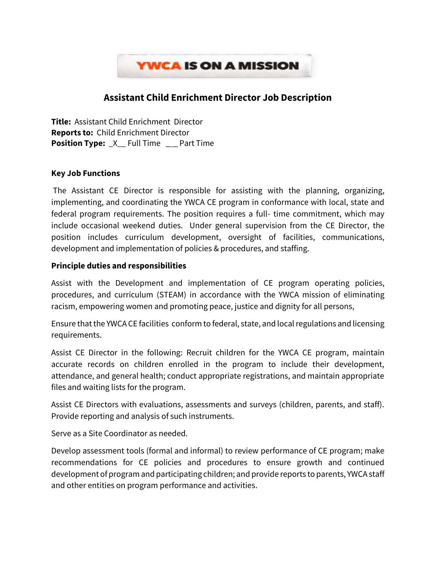

# **Assistant Child Enrichment Director Job Description**

**Title:** Assistant Child Enrichment Director **Reports to:** Child Enrichment Director **Position Type:**  $X$  Full Time 2 Part Time

### **Key Job Functions**

The Assistant CE Director is responsible for assisting with the planning, organizing, implementing, and coordinating the YWCA CE program in conformance with local, state and federal program requirements. The position requires a full- time commitment, which may include occasional weekend duties. Under general supervision from the CE Director, the position includes curriculum development, oversight of facilities, communications, development and implementation of policies & procedures, and staffing.

### **Principle duties and responsibilities**

Assist with the Development and implementation of CE program operating policies, procedures, and curriculum (STEAM) in accordance with the YWCA mission of eliminating racism, empowering women and promoting peace, justice and dignity for all persons,

Ensure that the YWCA CE facilities conform to federal, state, and local regulations and licensing requirements.

Assist CE Director in the following: Recruit children for the YWCA CE program, maintain accurate records on children enrolled in the program to include their development, attendance, and general health; conduct appropriate registrations, and maintain appropriate files and waiting lists for the program.

Assist CE Directors with evaluations, assessments and surveys (children, parents, and staff). Provide reporting and analysis of such instruments.

Serve as a Site Coordinator as needed.

Develop assessment tools (formal and informal) to review performance of CE program; make recommendations for CE policies and procedures to ensure growth and continued development of program and participating children; and provide reports to parents, YWCA staff and other entities on program performance and activities.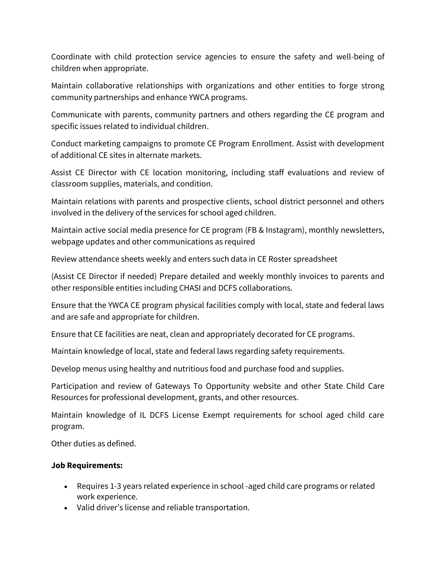Coordinate with child protection service agencies to ensure the safety and well-being of children when appropriate.

Maintain collaborative relationships with organizations and other entities to forge strong community partnerships and enhance YWCA programs.

Communicate with parents, community partners and others regarding the CE program and specific issues related to individual children.

Conduct marketing campaigns to promote CE Program Enrollment. Assist with development of additional CE sites in alternate markets.

Assist CE Director with CE location monitoring, including staff evaluations and review of classroom supplies, materials, and condition.

Maintain relations with parents and prospective clients, school district personnel and others involved in the delivery of the services for school aged children.

Maintain active social media presence for CE program (FB & Instagram), monthly newsletters, webpage updates and other communications as required

Review attendance sheets weekly and enters such data in CE Roster spreadsheet

(Assist CE Director if needed) Prepare detailed and weekly monthly invoices to parents and other responsible entities including CHASI and DCFS collaborations.

Ensure that the YWCA CE program physical facilities comply with local, state and federal laws and are safe and appropriate for children.

Ensure that CE facilities are neat, clean and appropriately decorated for CE programs.

Maintain knowledge of local, state and federal laws regarding safety requirements.

Develop menus using healthy and nutritious food and purchase food and supplies.

Participation and review of Gateways To Opportunity website and other State Child Care Resources for professional development, grants, and other resources.

Maintain knowledge of IL DCFS License Exempt requirements for school aged child care program.

Other duties as defined.

## **Job Requirements:**

- Requires 1-3 years related experience in school -aged child care programs or related work experience.
- Valid driver's license and reliable transportation.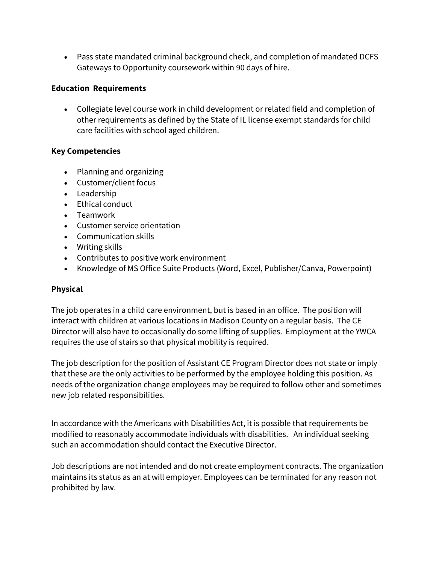• Pass state mandated criminal background check, and completion of mandated DCFS Gateways to Opportunity coursework within 90 days of hire.

## **Education Requirements**

• Collegiate level course work in child development or related field and completion of other requirements as defined by the State of IL license exempt standards for child care facilities with school aged children.

## **Key Competencies**

- Planning and organizing
- Customer/client focus
- Leadership
- Ethical conduct
- Teamwork
- Customer service orientation
- Communication skills
- Writing skills
- Contributes to positive work environment
- Knowledge of MS Office Suite Products (Word, Excel, Publisher/Canva, Powerpoint)

# **Physical**

The job operates in a child care environment, but is based in an office. The position will interact with children at various locations in Madison County on a regular basis. The CE Director will also have to occasionally do some lifting of supplies. Employment at the YWCA requires the use of stairs so that physical mobility is required.

The job description for the position of Assistant CE Program Director does not state or imply that these are the only activities to be performed by the employee holding this position. As needs of the organization change employees may be required to follow other and sometimes new job related responsibilities.

In accordance with the Americans with Disabilities Act, it is possible that requirements be modified to reasonably accommodate individuals with disabilities. An individual seeking such an accommodation should contact the Executive Director.

Job descriptions are not intended and do not create employment contracts. The organization maintains its status as an at will employer. Employees can be terminated for any reason not prohibited by law.